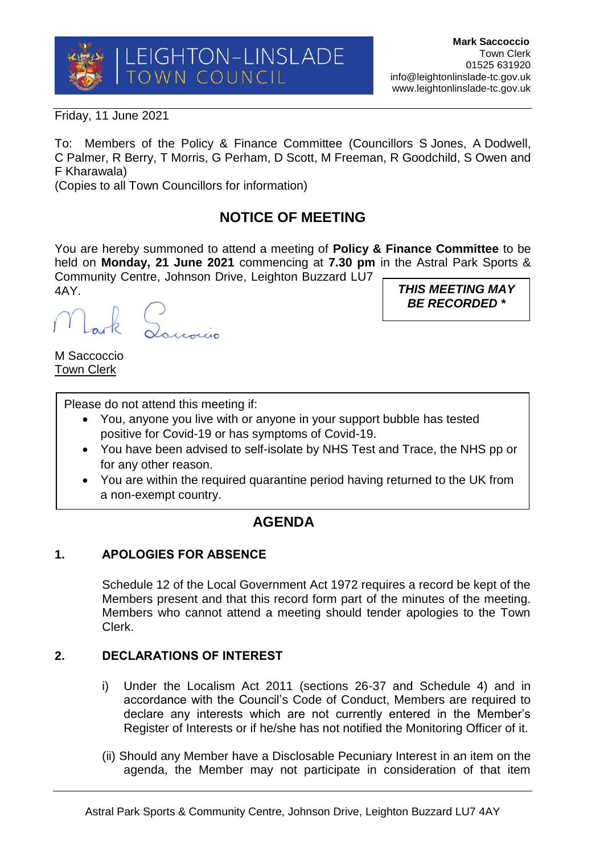

*BE RECORDED \**

Friday, 11 June 2021

To: Members of the Policy & Finance Committee (Councillors S Jones, A Dodwell, C Palmer, R Berry, T Morris, G Perham, D Scott, M Freeman, R Goodchild, S Owen and F Kharawala)

(Copies to all Town Councillors for information)

# **NOTICE OF MEETING**

You are hereby summoned to attend a meeting of **Policy & Finance Committee** to be held on **Monday, 21 June 2021** commencing at **7.30 pm** in the Astral Park Sports & Community Centre, Johnson Drive, Leighton Buzzard LU7 4AY. *THIS MEETING MAY* 

ark Lauvin

M Saccoccio Town Clerk

Please do not attend this meeting if:

- You, anyone you live with or anyone in your support bubble has tested positive for Covid-19 or has symptoms of Covid-19.
- You have been advised to self-isolate by NHS Test and Trace, the NHS pp or for any other reason.
- You are within the required quarantine period having returned to the UK from a non-exempt country.

## **AGENDA**

## **1. APOLOGIES FOR ABSENCE**

Schedule 12 of the Local Government Act 1972 requires a record be kept of the Members present and that this record form part of the minutes of the meeting. Members who cannot attend a meeting should tender apologies to the Town Clerk.

### **2. DECLARATIONS OF INTEREST**

- i) Under the Localism Act 2011 (sections 26-37 and Schedule 4) and in accordance with the Council's Code of Conduct, Members are required to declare any interests which are not currently entered in the Member's Register of Interests or if he/she has not notified the Monitoring Officer of it.
- (ii) Should any Member have a Disclosable Pecuniary Interest in an item on the agenda, the Member may not participate in consideration of that item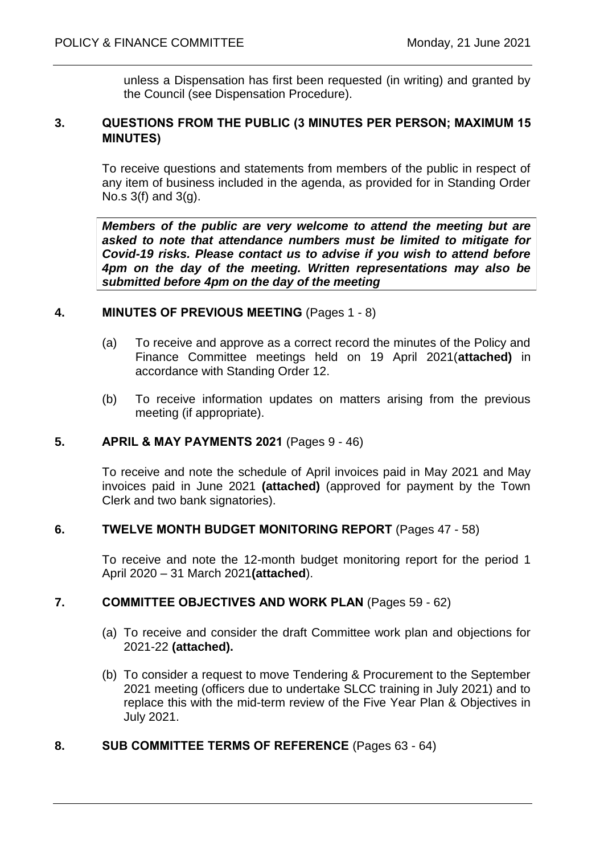unless a Dispensation has first been requested (in writing) and granted by the Council (see Dispensation Procedure).

### **3. QUESTIONS FROM THE PUBLIC (3 MINUTES PER PERSON; MAXIMUM 15 MINUTES)**

To receive questions and statements from members of the public in respect of any item of business included in the agenda, as provided for in Standing Order No.s 3(f) and 3(g).

*Members of the public are very welcome to attend the meeting but are asked to note that attendance numbers must be limited to mitigate for Covid-19 risks. Please contact us to advise if you wish to attend before 4pm on the day of the meeting. Written representations may also be submitted before 4pm on the day of the meeting*

#### **4. MINUTES OF PREVIOUS MEETING** (Pages 1 - 8)

- (a) To receive and approve as a correct record the minutes of the Policy and Finance Committee meetings held on 19 April 2021(**attached)** in accordance with Standing Order 12.
- (b) To receive information updates on matters arising from the previous meeting (if appropriate).

### **5. APRIL & MAY PAYMENTS 2021** (Pages 9 - 46)

To receive and note the schedule of April invoices paid in May 2021 and May invoices paid in June 2021 **(attached)** (approved for payment by the Town Clerk and two bank signatories).

#### **6. TWELVE MONTH BUDGET MONITORING REPORT** (Pages 47 - 58)

To receive and note the 12-month budget monitoring report for the period 1 April 2020 – 31 March 2021**(attached**).

### **7. COMMITTEE OBJECTIVES AND WORK PLAN** (Pages 59 - 62)

- (a) To receive and consider the draft Committee work plan and objections for 2021-22 **(attached).**
- (b) To consider a request to move Tendering & Procurement to the September 2021 meeting (officers due to undertake SLCC training in July 2021) and to replace this with the mid-term review of the Five Year Plan & Objectives in July 2021.

#### **8. SUB COMMITTEE TERMS OF REFERENCE** (Pages 63 - 64)